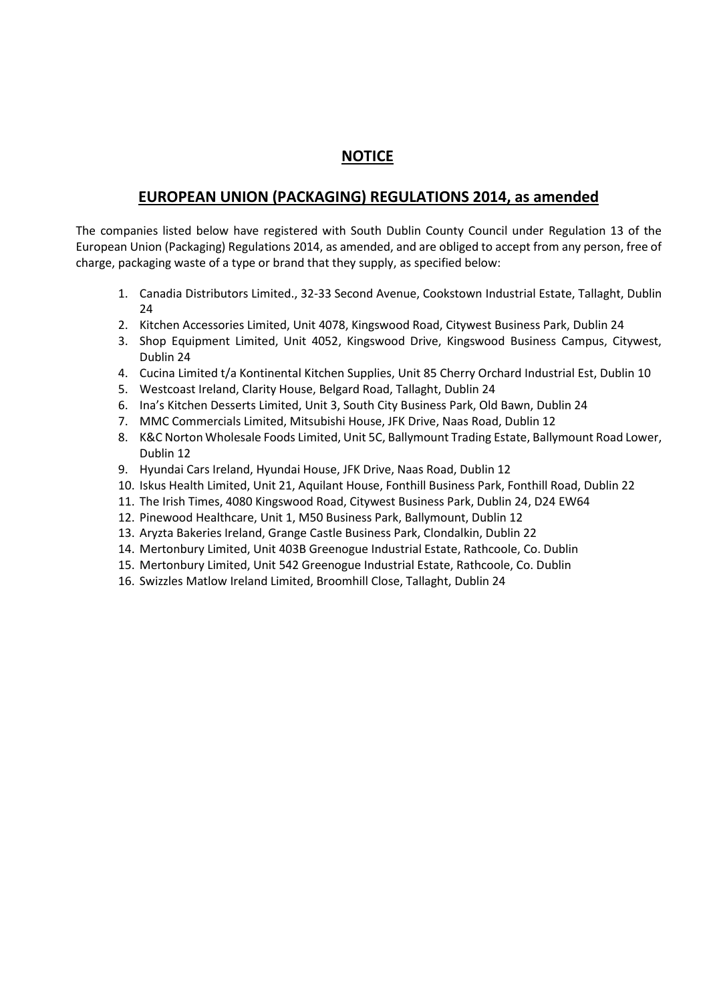## **NOTICE**

## **EUROPEAN UNION (PACKAGING) REGULATIONS 2014, as amended**

The companies listed below have registered with South Dublin County Council under Regulation 13 of the European Union (Packaging) Regulations 2014, as amended, and are obliged to accept from any person, free of charge, packaging waste of a type or brand that they supply, as specified below:

- 1. Canadia Distributors Limited., 32-33 Second Avenue, Cookstown Industrial Estate, Tallaght, Dublin 24
- 2. Kitchen Accessories Limited, Unit 4078, Kingswood Road, Citywest Business Park, Dublin 24
- 3. Shop Equipment Limited, Unit 4052, Kingswood Drive, Kingswood Business Campus, Citywest, Dublin 24
- 4. Cucina Limited t/a Kontinental Kitchen Supplies, Unit 85 Cherry Orchard Industrial Est, Dublin 10
- 5. Westcoast Ireland, Clarity House, Belgard Road, Tallaght, Dublin 24
- 6. Ina's Kitchen Desserts Limited, Unit 3, South City Business Park, Old Bawn, Dublin 24
- 7. MMC Commercials Limited, Mitsubishi House, JFK Drive, Naas Road, Dublin 12
- 8. K&C Norton Wholesale Foods Limited, Unit 5C, Ballymount Trading Estate, Ballymount Road Lower, Dublin 12
- 9. Hyundai Cars Ireland, Hyundai House, JFK Drive, Naas Road, Dublin 12
- 10. Iskus Health Limited, Unit 21, Aquilant House, Fonthill Business Park, Fonthill Road, Dublin 22
- 11. The Irish Times, 4080 Kingswood Road, Citywest Business Park, Dublin 24, D24 EW64
- 12. Pinewood Healthcare, Unit 1, M50 Business Park, Ballymount, Dublin 12
- 13. Aryzta Bakeries Ireland, Grange Castle Business Park, Clondalkin, Dublin 22
- 14. Mertonbury Limited, Unit 403B Greenogue Industrial Estate, Rathcoole, Co. Dublin
- 15. Mertonbury Limited, Unit 542 Greenogue Industrial Estate, Rathcoole, Co. Dublin
- 16. Swizzles Matlow Ireland Limited, Broomhill Close, Tallaght, Dublin 24